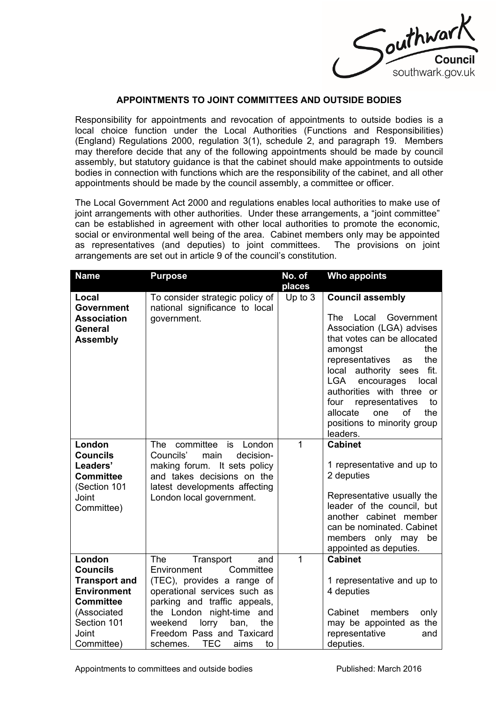

## **APPOINTMENTS TO JOINT COMMITTEES AND OUTSIDE BODIES**

Responsibility for appointments and revocation of appointments to outside bodies is a local choice function under the Local Authorities (Functions and Responsibilities) (England) Regulations 2000, regulation 3(1), schedule 2, and paragraph 19. Members may therefore decide that any of the following appointments should be made by council assembly, but statutory guidance is that the cabinet should make appointments to outside bodies in connection with functions which are the responsibility of the cabinet, and all other appointments should be made by the council assembly, a committee or officer.

The Local Government Act 2000 and regulations enables local authorities to make use of joint arrangements with other authorities. Under these arrangements, a "joint committee" can be established in agreement with other local authorities to promote the economic, social or environmental well being of the area. Cabinet members only may be appointed as representatives (and deputies) to joint committees. The provisions on joint arrangements are set out in article 9 of the council's constitution.

| <b>Name</b>                                | <b>Purpose</b>                                             | No. of       | <b>Who appoints</b>                             |
|--------------------------------------------|------------------------------------------------------------|--------------|-------------------------------------------------|
|                                            |                                                            | places       |                                                 |
| Local                                      | To consider strategic policy of                            | Up to $3$    | <b>Council assembly</b>                         |
| <b>Government</b>                          | national significance to local                             |              |                                                 |
| <b>Association</b>                         | government.                                                |              | <b>The</b><br>Local<br>Government               |
| General                                    |                                                            |              | Association (LGA) advises                       |
| <b>Assembly</b>                            |                                                            |              | that votes can be allocated                     |
|                                            |                                                            |              | the<br>amongst                                  |
|                                            |                                                            |              | representatives<br>the<br>as                    |
|                                            |                                                            |              | fit.<br>local authority sees                    |
|                                            |                                                            |              | <b>LGA</b><br>encourages<br>local               |
|                                            |                                                            |              | authorities with three or<br>four<br>to         |
|                                            |                                                            |              | representatives<br>the<br>allocate<br>οf<br>one |
|                                            |                                                            |              | positions to minority group                     |
|                                            |                                                            |              | leaders.                                        |
| London                                     | committee<br>London<br>is<br><b>The</b>                    | $\mathbf{1}$ | <b>Cabinet</b>                                  |
| <b>Councils</b>                            | Councils'<br>decision-<br>main                             |              |                                                 |
| Leaders'                                   | making forum. It sets policy                               |              | 1 representative and up to                      |
| <b>Committee</b>                           | and takes decisions on the                                 |              | 2 deputies                                      |
| (Section 101                               | latest developments affecting                              |              |                                                 |
| Joint                                      | London local government.                                   |              | Representative usually the                      |
| Committee)                                 |                                                            |              | leader of the council, but                      |
|                                            |                                                            |              | another cabinet member                          |
|                                            |                                                            |              | can be nominated. Cabinet                       |
|                                            |                                                            |              | members only may<br>be                          |
|                                            |                                                            |              | appointed as deputies.                          |
| London<br><b>Councils</b>                  | <b>The</b><br>Transport<br>and                             | 1            | <b>Cabinet</b>                                  |
|                                            | Environment<br>Committee                                   |              |                                                 |
| <b>Transport and</b><br><b>Environment</b> | (TEC), provides a range of<br>operational services such as |              | 1 representative and up to<br>4 deputies        |
| <b>Committee</b>                           | parking and traffic appeals,                               |              |                                                 |
| (Associated                                | the London<br>night-time<br>and                            |              | Cabinet<br>members<br>only                      |
| Section 101                                | lorry<br>weekend<br>the<br>ban,                            |              | may be appointed as the                         |
| Joint                                      | Freedom Pass and Taxicard                                  |              | representative<br>and                           |
| Committee)                                 | <b>TEC</b><br>schemes.<br>aims<br>to                       |              | deputies.                                       |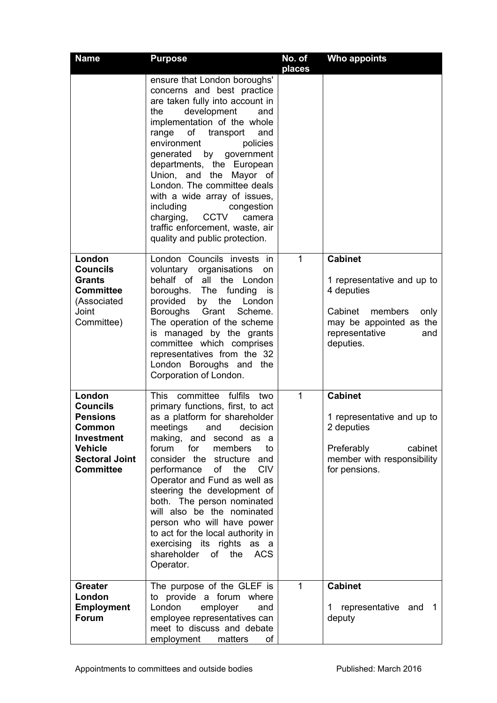| <b>Name</b>                                                                                                                                | <b>Purpose</b>                                                                                                                                                                                                                                                                                                                                                                                                                                                                                                                                           | No. of<br>places | <b>Who appoints</b>                                                                                                                                       |
|--------------------------------------------------------------------------------------------------------------------------------------------|----------------------------------------------------------------------------------------------------------------------------------------------------------------------------------------------------------------------------------------------------------------------------------------------------------------------------------------------------------------------------------------------------------------------------------------------------------------------------------------------------------------------------------------------------------|------------------|-----------------------------------------------------------------------------------------------------------------------------------------------------------|
|                                                                                                                                            | ensure that London boroughs'<br>concerns and best practice<br>are taken fully into account in<br>development<br>the<br>and<br>implementation of the whole<br>οf<br>transport<br>and<br>range<br>policies<br>environment<br>generated<br>by<br>government<br>departments, the European<br>Union, and the Mayor of<br>London. The committee deals<br>with a wide array of issues,<br>including<br>congestion<br><b>CCTV</b><br>charging,<br>camera<br>traffic enforcement, waste, air<br>quality and public protection.                                    |                  |                                                                                                                                                           |
| London<br><b>Councils</b><br><b>Grants</b><br><b>Committee</b><br>(Associated<br>Joint<br>Committee)                                       | London Councils invests in<br>voluntary<br>organisations<br><b>on</b><br>behalf of all the London<br>boroughs. The funding<br>is<br>by the<br>provided<br>London<br>Grant<br>Boroughs<br>Scheme.<br>The operation of the scheme<br>is managed by the grants<br>committee which comprises<br>representatives from the 32<br>London Boroughs and the<br>Corporation of London.                                                                                                                                                                             | 1                | <b>Cabinet</b><br>1 representative and up to<br>4 deputies<br>Cabinet<br>members<br>only<br>may be appointed as the<br>representative<br>and<br>deputies. |
| London<br><b>Councils</b><br><b>Pensions</b><br>Common<br><b>Investment</b><br><b>Vehicle</b><br><b>Sectoral Joint</b><br><b>Committee</b> | <b>This</b><br>committee<br>fulfils<br>two<br>primary functions, first, to act<br>as a platform for shareholder<br>and<br>decision<br>meetings<br>making, and second as a<br>for<br>forum<br>members<br>to<br>consider the structure and<br>of<br><b>CIV</b><br>performance<br>the<br>Operator and Fund as well as<br>steering the development of<br>both. The person nominated<br>will also be the nominated<br>person who will have power<br>to act for the local authority in<br>exercising its rights as a<br>shareholder<br>of the ACS<br>Operator. | 1                | <b>Cabinet</b><br>1 representative and up to<br>2 deputies<br>Preferably<br>cabinet<br>member with responsibility<br>for pensions.                        |
| <b>Greater</b><br>London<br><b>Employment</b><br><b>Forum</b>                                                                              | The purpose of the GLEF is<br>to provide a forum where<br>London<br>employer<br>and<br>employee representatives can<br>meet to discuss and debate<br>employment<br>matters<br>of                                                                                                                                                                                                                                                                                                                                                                         | 1                | <b>Cabinet</b><br>representative and 1<br>1<br>deputy                                                                                                     |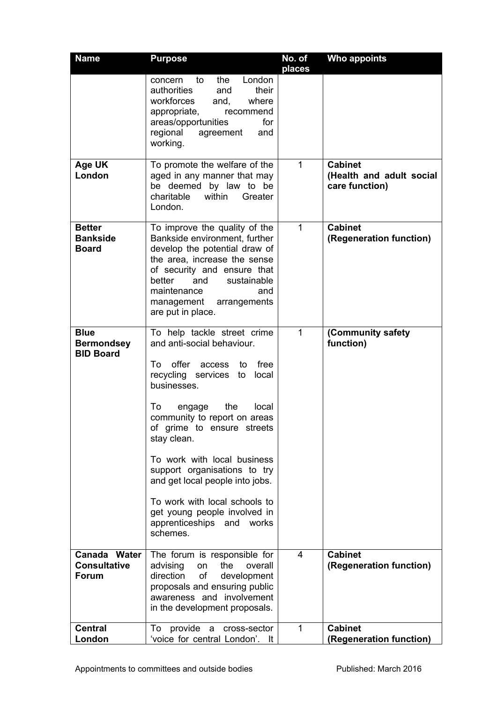| <b>Name</b>                                          | <b>Purpose</b>                                                                                                                                                                                                                                                                                                                                                                                                                                                          | No. of<br>places | Who appoints                                                 |
|------------------------------------------------------|-------------------------------------------------------------------------------------------------------------------------------------------------------------------------------------------------------------------------------------------------------------------------------------------------------------------------------------------------------------------------------------------------------------------------------------------------------------------------|------------------|--------------------------------------------------------------|
|                                                      | the<br>London<br>to<br>concern<br>authorities<br>their<br>and<br>workforces<br>and,<br>where<br>appropriate,<br>recommend<br>areas/opportunities<br>for<br>regional<br>agreement<br>and<br>working.                                                                                                                                                                                                                                                                     |                  |                                                              |
| Age UK<br>London                                     | To promote the welfare of the<br>aged in any manner that may<br>be deemed by law to be<br>within<br>charitable<br>Greater<br>London.                                                                                                                                                                                                                                                                                                                                    | $\mathbf{1}$     | <b>Cabinet</b><br>(Health and adult social<br>care function) |
| <b>Better</b><br><b>Bankside</b><br><b>Board</b>     | To improve the quality of the<br>Bankside environment, further<br>develop the potential draw of<br>the area, increase the sense<br>of security and ensure that<br>and<br>better<br>sustainable<br>maintenance<br>and<br>management arrangements<br>are put in place.                                                                                                                                                                                                    | 1                | <b>Cabinet</b><br>(Regeneration function)                    |
| <b>Blue</b><br><b>Bermondsey</b><br><b>BID Board</b> | To help tackle street crime<br>and anti-social behaviour.<br>offer<br>free<br>To<br>access<br>to<br>recycling services to local<br>businesses.<br>To<br>the<br>local<br>engage<br>community to report on areas<br>of grime to ensure streets<br>stay clean.<br>To work with local business<br>support organisations to try<br>and get local people into jobs.<br>To work with local schools to<br>get young people involved in<br>apprenticeships and works<br>schemes. | $\mathbf{1}$     | (Community safety<br>function)                               |
| Canada Water<br><b>Consultative</b><br><b>Forum</b>  | The forum is responsible for<br>advising<br>the<br>overall<br>on<br>direction<br>of<br>development<br>proposals and ensuring public<br>awareness and involvement<br>in the development proposals.                                                                                                                                                                                                                                                                       | 4                | <b>Cabinet</b><br>(Regeneration function)                    |
| <b>Central</b><br>London                             | provide<br>cross-sector<br>To<br>a<br>'voice for central London'. It                                                                                                                                                                                                                                                                                                                                                                                                    | $\mathbf 1$      | <b>Cabinet</b><br>(Regeneration function)                    |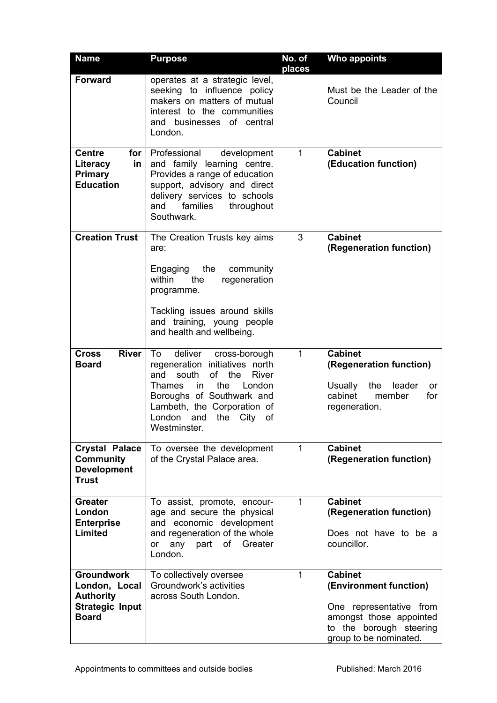| <b>Name</b>                                                                                      | <b>Purpose</b>                                                                                                                                                                                                                                                | No. of<br>places | Who appoints                                                                                                                                        |
|--------------------------------------------------------------------------------------------------|---------------------------------------------------------------------------------------------------------------------------------------------------------------------------------------------------------------------------------------------------------------|------------------|-----------------------------------------------------------------------------------------------------------------------------------------------------|
| <b>Forward</b>                                                                                   | operates at a strategic level,<br>seeking to influence policy<br>makers on matters of mutual<br>interest to the communities<br>and businesses of central<br>London.                                                                                           |                  | Must be the Leader of the<br>Council                                                                                                                |
| <b>Centre</b><br>for<br>Literacy<br>in<br><b>Primary</b><br><b>Education</b>                     | Professional<br>development<br>and family learning centre.<br>Provides a range of education<br>support, advisory and direct<br>delivery services to schools<br>families<br>throughout<br>and<br>Southwark.                                                    | 1                | <b>Cabinet</b><br>(Education function)                                                                                                              |
| <b>Creation Trust</b>                                                                            | The Creation Trusts key aims<br>are:<br>Engaging<br>the<br>community<br>within<br>the<br>regeneration<br>programme.<br>Tackling issues around skills<br>and training, young people<br>and health and wellbeing.                                               | 3                | <b>Cabinet</b><br>(Regeneration function)                                                                                                           |
| <b>River</b><br><b>Cross</b><br><b>Board</b>                                                     | To<br>deliver<br>cross-borough<br>regeneration initiatives north<br>south<br>of the<br><b>River</b><br>and<br>the<br>London<br>Thames<br>in<br>Boroughs of Southwark and<br>Lambeth, the Corporation of<br>the<br>City<br>London<br>and<br>of<br>Westminster. | 1                | <b>Cabinet</b><br>(Regeneration function)<br><b>Usually</b><br>leader<br>the<br><b>or</b><br>cabinet<br>member<br>for<br>regeneration.              |
| <b>Crystal Palace</b><br><b>Community</b><br><b>Development</b><br><b>Trust</b>                  | To oversee the development<br>of the Crystal Palace area.                                                                                                                                                                                                     | 1                | <b>Cabinet</b><br>(Regeneration function)                                                                                                           |
| <b>Greater</b><br>London<br><b>Enterprise</b><br><b>Limited</b>                                  | To assist, promote, encour-<br>age and secure the physical<br>and economic development<br>and regeneration of the whole<br>any part<br>of<br>Greater<br>or<br>London.                                                                                         | $\mathbf{1}$     | <b>Cabinet</b><br>(Regeneration function)<br>Does not have to be a<br>councillor.                                                                   |
| <b>Groundwork</b><br>London, Local<br><b>Authority</b><br><b>Strategic Input</b><br><b>Board</b> | To collectively oversee<br>Groundwork's activities<br>across South London.                                                                                                                                                                                    | 1                | <b>Cabinet</b><br>(Environment function)<br>One representative from<br>amongst those appointed<br>to the borough steering<br>group to be nominated. |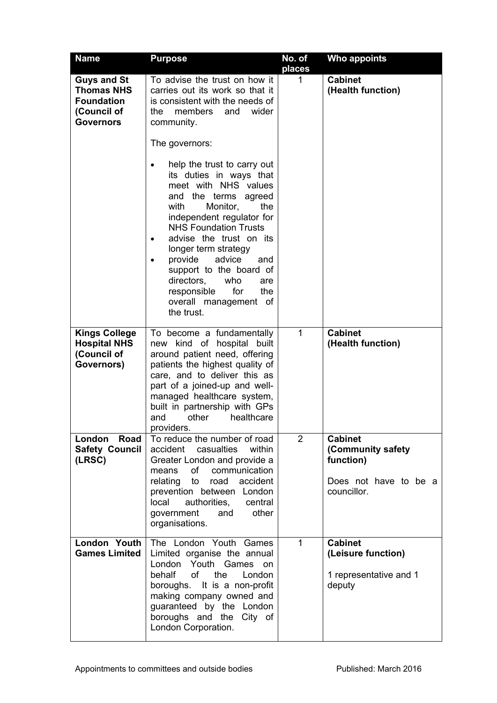| <b>Name</b>                                                                                     | <b>Purpose</b>                                                                                                                                                                                                                                                                                                                                                                                                                                  | No. of<br>places | <b>Who appoints</b>                                                                      |
|-------------------------------------------------------------------------------------------------|-------------------------------------------------------------------------------------------------------------------------------------------------------------------------------------------------------------------------------------------------------------------------------------------------------------------------------------------------------------------------------------------------------------------------------------------------|------------------|------------------------------------------------------------------------------------------|
| <b>Guys and St</b><br><b>Thomas NHS</b><br><b>Foundation</b><br>(Council of<br><b>Governors</b> | To advise the trust on how it<br>carries out its work so that it<br>is consistent with the needs of<br>members<br>wider<br>the<br>and<br>community.<br>The governors:                                                                                                                                                                                                                                                                           | 1                | <b>Cabinet</b><br>(Health function)                                                      |
|                                                                                                 | help the trust to carry out<br>$\bullet$<br>its duties in ways that<br>meet with NHS values<br>and the terms agreed<br>with<br>Monitor,<br>the<br>independent regulator for<br><b>NHS Foundation Trusts</b><br>advise the trust on its<br>$\bullet$<br>longer term strategy<br>provide<br>advice<br>and<br>$\bullet$<br>support to the board of<br>directors,<br>who<br>are<br>for<br>responsible<br>the<br>overall management of<br>the trust. |                  |                                                                                          |
| <b>Kings College</b><br><b>Hospital NHS</b><br>(Council of<br>Governors)                        | To become a fundamentally<br>new kind of hospital built<br>around patient need, offering<br>patients the highest quality of<br>care, and to deliver this as<br>part of a joined-up and well-<br>managed healthcare system,<br>built in partnership with GPs<br>other<br>healthcare<br>and<br>providers.                                                                                                                                         | $\mathbf{1}$     | <b>Cabinet</b><br>(Health function)                                                      |
| Road<br>London<br><b>Safety Council</b><br>(LRSC)                                               | To reduce the number of road<br>accident casualties<br>within<br>Greater London and provide a<br>of communication<br>means<br>relating to road accident<br>prevention between London<br>local<br>authorities,<br>central<br>other<br>government<br>and<br>organisations.                                                                                                                                                                        | 2                | <b>Cabinet</b><br>(Community safety<br>function)<br>Does not have to be a<br>councillor. |
| London Youth<br><b>Games Limited</b>                                                            | The London Youth Games<br>Limited organise the annual<br>London Youth Games<br><b>on</b><br>behalf<br>of<br>the<br>London<br>boroughs. It is a non-profit<br>making company owned and<br>guaranteed by the London<br>boroughs and the City of<br>London Corporation.                                                                                                                                                                            | $\mathbf{1}$     | <b>Cabinet</b><br>(Leisure function)<br>1 representative and 1<br>deputy                 |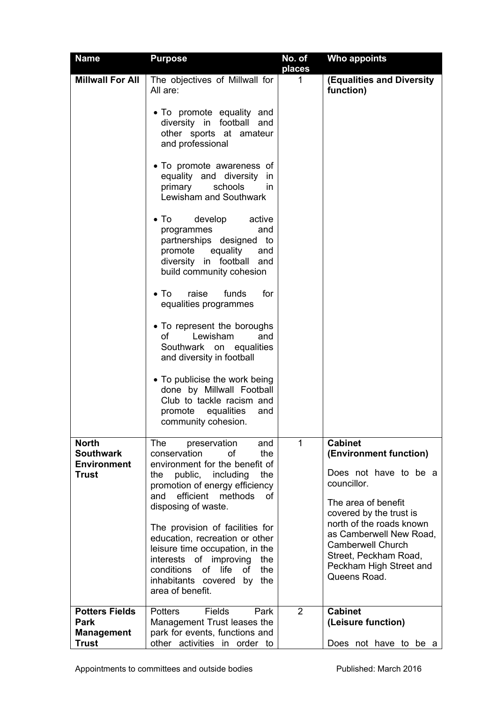| <b>Name</b>                                                        | <b>Purpose</b>                                                                                                                                                                                                                                                                                                                                                          | No. of<br>places | <b>Who appoints</b>                                                                                                                                                                                                                            |
|--------------------------------------------------------------------|-------------------------------------------------------------------------------------------------------------------------------------------------------------------------------------------------------------------------------------------------------------------------------------------------------------------------------------------------------------------------|------------------|------------------------------------------------------------------------------------------------------------------------------------------------------------------------------------------------------------------------------------------------|
| <b>Millwall For All</b>                                            | The objectives of Millwall for<br>All are:                                                                                                                                                                                                                                                                                                                              | $\mathbf 1$      | (Equalities and Diversity<br>function)                                                                                                                                                                                                         |
|                                                                    | • To promote equality and<br>diversity in football<br>and<br>other sports at amateur<br>and professional                                                                                                                                                                                                                                                                |                  |                                                                                                                                                                                                                                                |
|                                                                    | • To promote awareness of<br>equality and diversity in<br>primary<br>schools<br>in.<br>Lewisham and Southwark                                                                                                                                                                                                                                                           |                  |                                                                                                                                                                                                                                                |
|                                                                    | develop<br>$\bullet$ To<br>active<br>programmes<br>and<br>partnerships designed to<br>promote equality<br>and<br>diversity in football and<br>build community cohesion                                                                                                                                                                                                  |                  |                                                                                                                                                                                                                                                |
|                                                                    | raise<br>$\bullet$ To<br>funds<br>for<br>equalities programmes                                                                                                                                                                                                                                                                                                          |                  |                                                                                                                                                                                                                                                |
|                                                                    | • To represent the boroughs<br>Lewisham<br>of the control<br>and<br>Southwark on equalities<br>and diversity in football                                                                                                                                                                                                                                                |                  |                                                                                                                                                                                                                                                |
|                                                                    | • To publicise the work being<br>done by Millwall Football<br>Club to tackle racism and<br>promote equalities<br>and<br>community cohesion.                                                                                                                                                                                                                             |                  |                                                                                                                                                                                                                                                |
| <b>North</b><br><b>Southwark</b><br><b>Environment</b><br>Trust    | <b>The</b><br>preservation<br>and<br>conservation<br>of<br>the<br>environment for the benefit of<br>public, including<br>the<br>the<br>promotion of energy efficiency<br>efficient methods<br>and<br>0f<br>disposing of waste.<br>The provision of facilities for<br>education, recreation or other<br>leisure time occupation, in the<br>interests of improving<br>the | 1                | <b>Cabinet</b><br>(Environment function)<br>Does not have to be a<br>councillor.<br>The area of benefit<br>covered by the trust is<br>north of the roads known<br>as Camberwell New Road,<br><b>Camberwell Church</b><br>Street, Peckham Road, |
|                                                                    | conditions<br>of<br>life<br>of<br>the<br>inhabitants covered<br>by<br>the<br>area of benefit.                                                                                                                                                                                                                                                                           |                  | Peckham High Street and<br>Queens Road.                                                                                                                                                                                                        |
| <b>Potters Fields</b><br>Park<br><b>Management</b><br><b>Trust</b> | <b>Fields</b><br><b>Potters</b><br>Park<br>Management Trust leases the<br>park for events, functions and<br>other activities in order to                                                                                                                                                                                                                                | 2                | <b>Cabinet</b><br>(Leisure function)<br>Does not have to be a                                                                                                                                                                                  |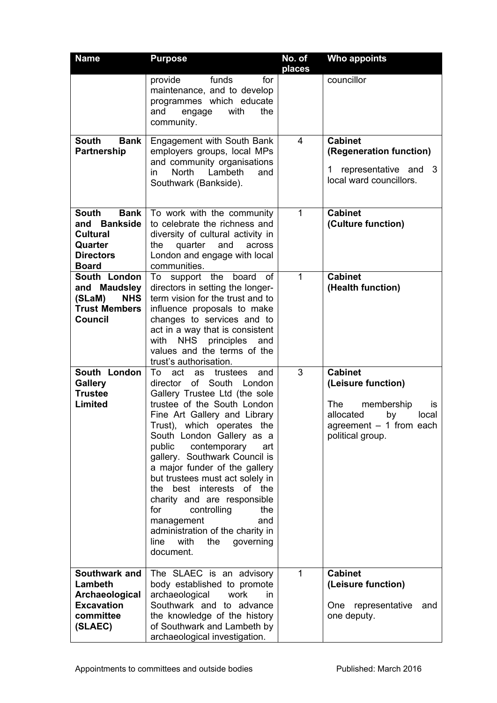| <b>Name</b>                                                                                                   | <b>Purpose</b>                                                                                                                                                                                                                                                                                                                                                                                                                                                                                                                                                               | No. of<br>places | <b>Who appoints</b>                                                                                                                                |
|---------------------------------------------------------------------------------------------------------------|------------------------------------------------------------------------------------------------------------------------------------------------------------------------------------------------------------------------------------------------------------------------------------------------------------------------------------------------------------------------------------------------------------------------------------------------------------------------------------------------------------------------------------------------------------------------------|------------------|----------------------------------------------------------------------------------------------------------------------------------------------------|
|                                                                                                               | funds<br>provide<br>for<br>maintenance, and to develop<br>programmes which educate<br>and<br>engage<br>with<br>the<br>community.                                                                                                                                                                                                                                                                                                                                                                                                                                             |                  | councillor                                                                                                                                         |
| <b>South</b><br><b>Bank</b><br>Partnership                                                                    | Engagement with South Bank<br>employers groups, local MPs<br>and community organisations<br><b>North</b><br>Lambeth<br>in<br>and<br>Southwark (Bankside).                                                                                                                                                                                                                                                                                                                                                                                                                    | 4                | <b>Cabinet</b><br>(Regeneration function)<br>representative and 3<br>1.<br>local ward councillors.                                                 |
| <b>South</b><br><b>Bank</b><br>and Bankside<br><b>Cultural</b><br>Quarter<br><b>Directors</b><br><b>Board</b> | To work with the community<br>to celebrate the richness and<br>diversity of cultural activity in<br>the<br>quarter and<br>across<br>London and engage with local<br>communities.                                                                                                                                                                                                                                                                                                                                                                                             | $\mathbf{1}$     | <b>Cabinet</b><br>(Culture function)                                                                                                               |
| South London<br>and Maudsley<br>(SLaM)<br><b>NHS</b><br><b>Trust Members</b><br>Council                       | To support the board<br>0f<br>directors in setting the longer-<br>term vision for the trust and to<br>influence proposals to make<br>changes to services and to<br>act in a way that is consistent<br>NHS principles<br>with<br>and<br>values and the terms of the<br>trust's authorisation.                                                                                                                                                                                                                                                                                 | 1                | <b>Cabinet</b><br>(Health function)                                                                                                                |
| South London<br><b>Gallery</b><br><b>Trustee</b><br><b>Limited</b>                                            | act<br>To<br>trustees<br>as<br>and<br>of South<br>director<br>London<br>Gallery Trustee Ltd (the sole<br>trustee of the South London<br>Fine Art Gallery and Library<br>Trust), which operates the<br>South London Gallery as a<br>public<br>contemporary<br>art<br>gallery. Southwark Council is<br>a major funder of the gallery<br>but trustees must act solely in<br>best interests of the<br>the.<br>charity and are responsible<br>for<br>controlling<br>the<br>management<br>and<br>administration of the charity in<br>with<br>the<br>governing<br>line<br>document. | 3                | <b>Cabinet</b><br>(Leisure function)<br><b>The</b><br>membership<br>is.<br>allocated<br>by<br>local<br>agreement - 1 from each<br>political group. |
| Southwark and<br>Lambeth<br>Archaeological<br><b>Excavation</b><br>committee<br>(SLAEC)                       | The SLAEC is an advisory<br>body established to promote<br>archaeological<br>work<br>in.<br>Southwark and to advance<br>the knowledge of the history<br>of Southwark and Lambeth by<br>archaeological investigation.                                                                                                                                                                                                                                                                                                                                                         | $\mathbf{1}$     | <b>Cabinet</b><br>(Leisure function)<br>One representative<br>and<br>one deputy.                                                                   |